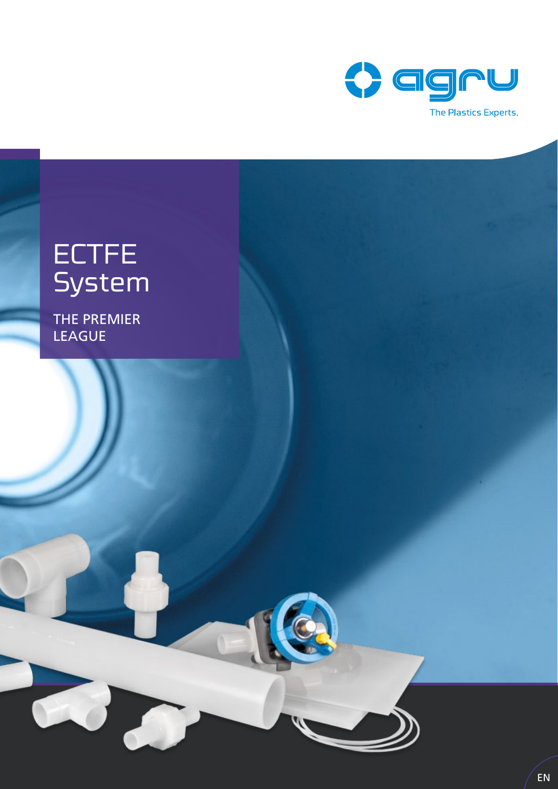

# ECTFE **System**

THE PREMIER **LEAGUE**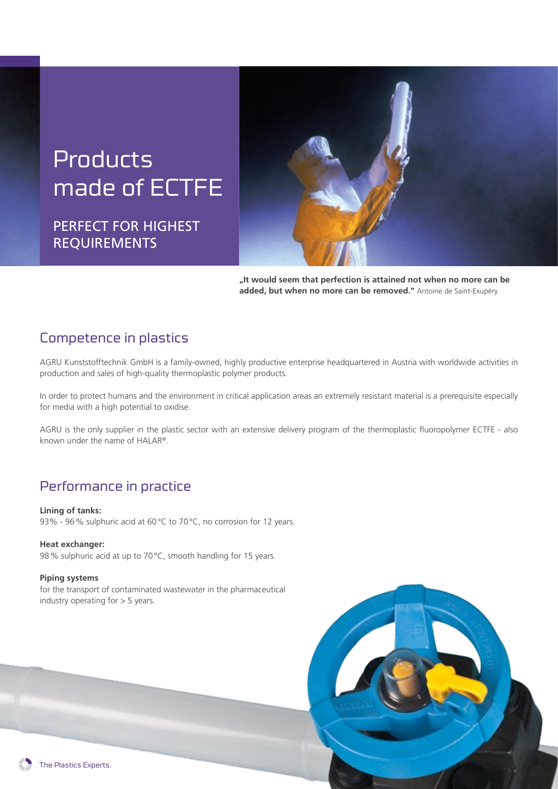## **Products** made of ECTFE

PERFECT FOR HIGHEST REQUIREMENTS



**"It would seem that perfection is attained not when no more can be added, but when no more can be removed."** Antoine de Saint-Exupéry

#### Competence in plastics

AGRU Kunststofftechnik GmbH is a family-owned, highly productive enterprise headquartered in Austria with worldwide activities in production and sales of high-quality thermoplastic polymer products.

In order to protect humans and the environment in critical application areas an extremely resistant material is a prerequisite especially for media with a high potential to oxidise.

AGRU is the only supplier in the plastic sector with an extensive delivery program of the thermoplastic fluoropolymer ECTFE - also known under the name of HALAR®.

#### Performance in practice

**Lining of tanks:** 93% - 96% sulphuric acid at 60°C to 70°C, no corrosion for 12 years.

#### **Heat exchanger:**

98% sulphuric acid at up to 70°C, smooth handling for 15 years.

#### **Piping systems**

for the transport of contaminated wastewater in the pharmaceutical industry operating for > 5 years.

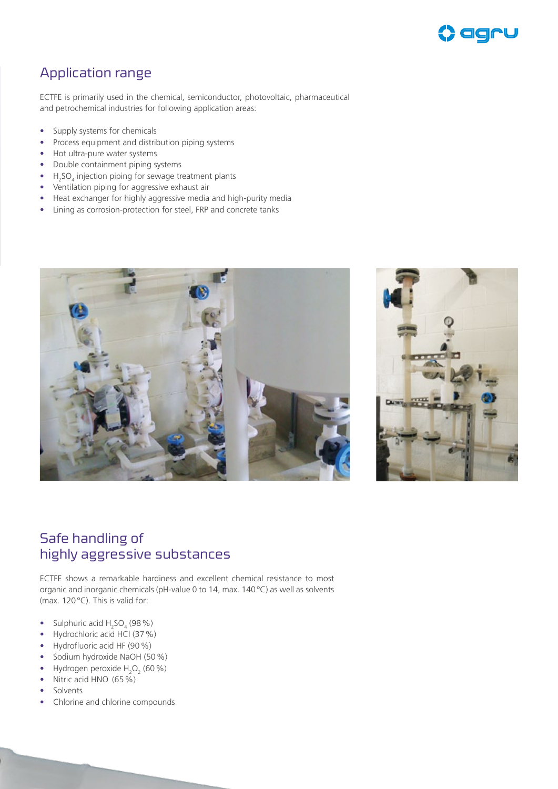

#### Application range

ECTFE is primarily used in the chemical, semiconductor, photovoltaic, pharmaceutical and petrochemical industries for following application areas:

- Supply systems for chemicals
- Process equipment and distribution piping systems
- Hot ultra-pure water systems
- Double containment piping systems
- $H_2$ SO<sub>4</sub> injection piping for sewage treatment plants
- Ventilation piping for aggressive exhaust air
- Heat exchanger for highly aggressive media and high-purity media
- Lining as corrosion-protection for steel, FRP and concrete tanks





#### Safe handling of highly aggressive substances

ECTFE shows a remarkable hardiness and excellent chemical resistance to most organic and inorganic chemicals (pH-value 0 to 14, max. 140°C) as well as solvents (max. 120°C). This is valid for:

- Sulphuric acid  $H_2SO_4$  (98 %)
- Hydrochloric acid HCl (37%)
- Hydrofluoric acid HF (90%)
- Sodium hydroxide NaOH (50 %)
- Hydrogen peroxide  $H_2O_2$  (60 %)
- Nitric acid HNO  $(65\%)$
- **Solvents**
- Chlorine and chlorine compounds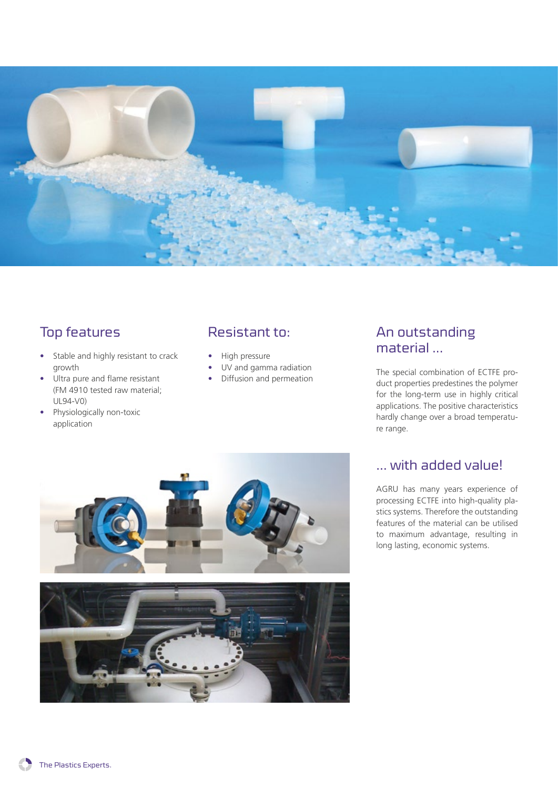

## Top features

- Stable and highly resistant to crack growth
- Ultra pure and flame resistant (FM 4910 tested raw material; UL94-V0)
- Physiologically non-toxic application

#### Resistant to:

- High pressure
- UV and gamma radiation
- Diffusion and permeation

#### An outstanding material ...

The special combination of ECTFE product properties predestines the polymer for the long-term use in highly critical applications. The positive characteristics hardly change over a broad temperature range.





#### … with added value!

AGRU has many years experience of processing ECTFE into high-quality plastics systems. Therefore the outstanding features of the material can be utilised to maximum advantage, resulting in long lasting, economic systems.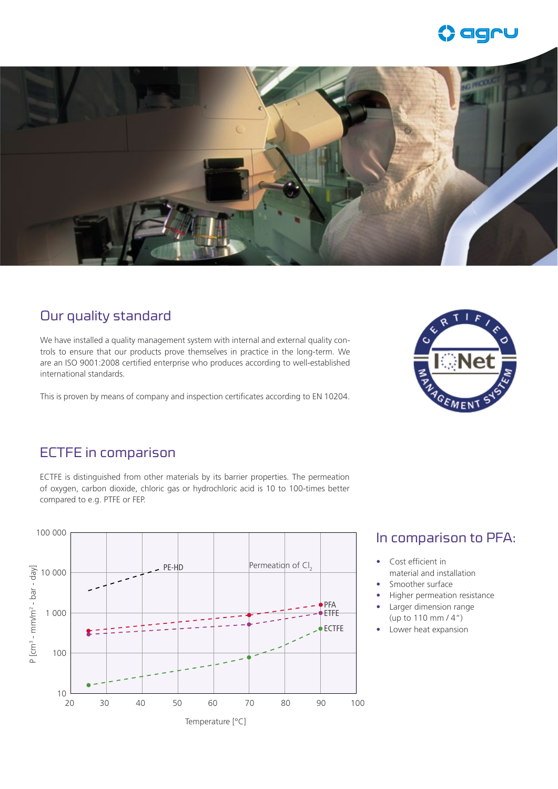



#### Our quality standard

We have installed a quality management system with internal and external quality controls to ensure that our products prove themselves in practice in the long-term. We are an ISO 9001:2008 certified enterprise who produces according to well-established international standards.

This is proven by means of company and inspection certificates according to EN 10204.



#### ECTFE in comparison

ECTFE is distinguished from other materials by its barrier properties. The permeation of oxygen, carbon dioxide, chloric gas or hydrochloric acid is 10 to 100-times better compared to e.g. PTFE or FEP.



#### In comparison to PFA:

- Cost efficient in material and installation
- Smoother surface
- Higher permeation resistance
- Larger dimension range (up to 110 mm / 4")
- Lower heat expansion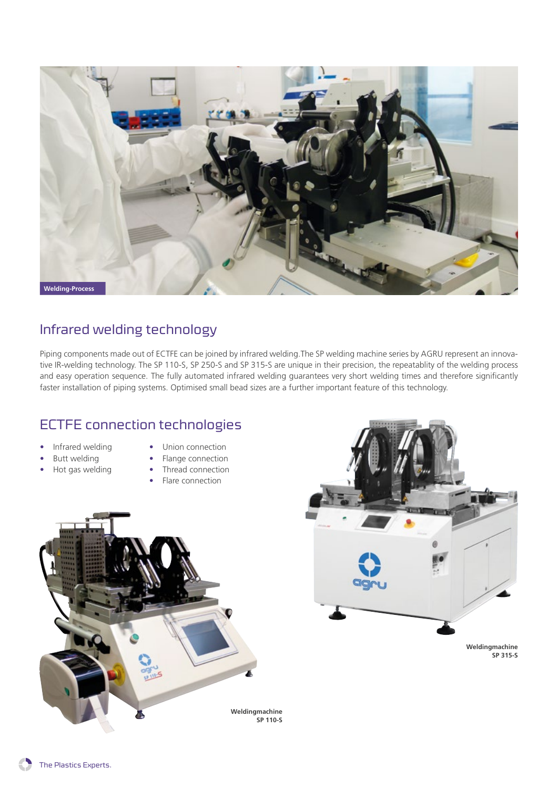

#### Infrared welding technology

Piping components made out of ECTFE can be joined by infrared welding.The SP welding machine series by AGRU represent an innovative IR-welding technology. The SP 110-S, SP 250-S and SP 315-S are unique in their precision, the repeatablity of the welding process and easy operation sequence. The fully automated infrared welding guarantees very short welding times and therefore significantly faster installation of piping systems. Optimised small bead sizes are a further important feature of this technology.

#### ECTFE connection technologies

- Infrared welding
- Butt welding
- Union connection
- Flange connection
- Hot gas welding
- Thread connection
	- Flare connection





**Weldingmachine SP 315-S**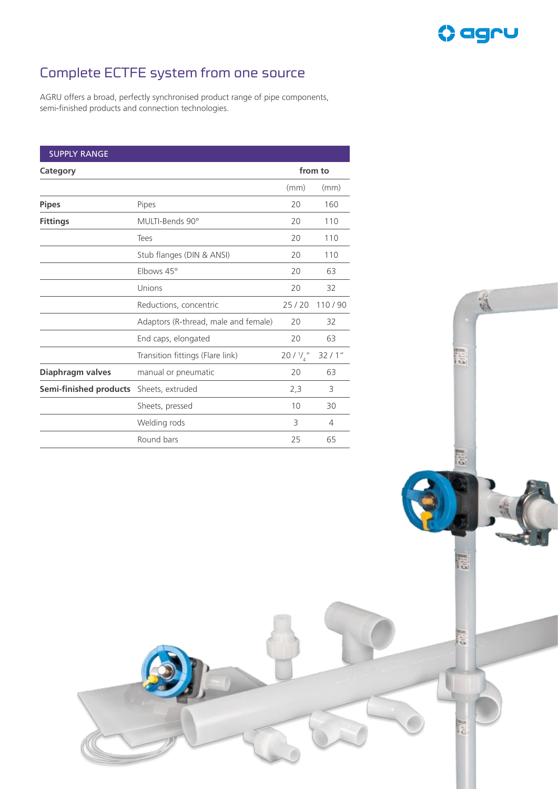

高

ia)

Catill

## Complete ECTFE system from one source

AGRU offers a broad, perfectly synchronised product range of pipe components, semi-finished products and connection technologies.

| <b>SUPPLY RANGE</b>    |                                      |                       |        |
|------------------------|--------------------------------------|-----------------------|--------|
| Category               |                                      | from to               |        |
|                        |                                      | (mm)                  | (mm)   |
| <b>Pipes</b>           | Pipes                                | 20                    | 160    |
| <b>Fittings</b>        | MULTI-Bends 90°                      | 20                    | 110    |
|                        | Tees                                 | 20                    | 110    |
|                        | Stub flanges (DIN & ANSI)            | 20                    | 110    |
|                        | Elbows 45°                           | 20                    | 63     |
|                        | Unions                               | 20                    | 32     |
|                        | Reductions, concentric               | 25/20                 | 110/90 |
|                        | Adaptors (R-thread, male and female) | 20                    | 32     |
|                        | End caps, elongated                  | 20                    | 63     |
|                        | Transition fittings (Flare link)     | $20/$ $\frac{1}{4}$ " | 32/1"  |
| Diaphragm valves       | manual or pneumatic                  | 20                    | 63     |
| Semi-finished products | Sheets, extruded                     | 2,3                   | 3      |
|                        | Sheets, pressed                      | 10                    | 30     |
|                        | Welding rods                         | 3                     | 4      |
|                        | Round bars                           | 25                    | 65     |